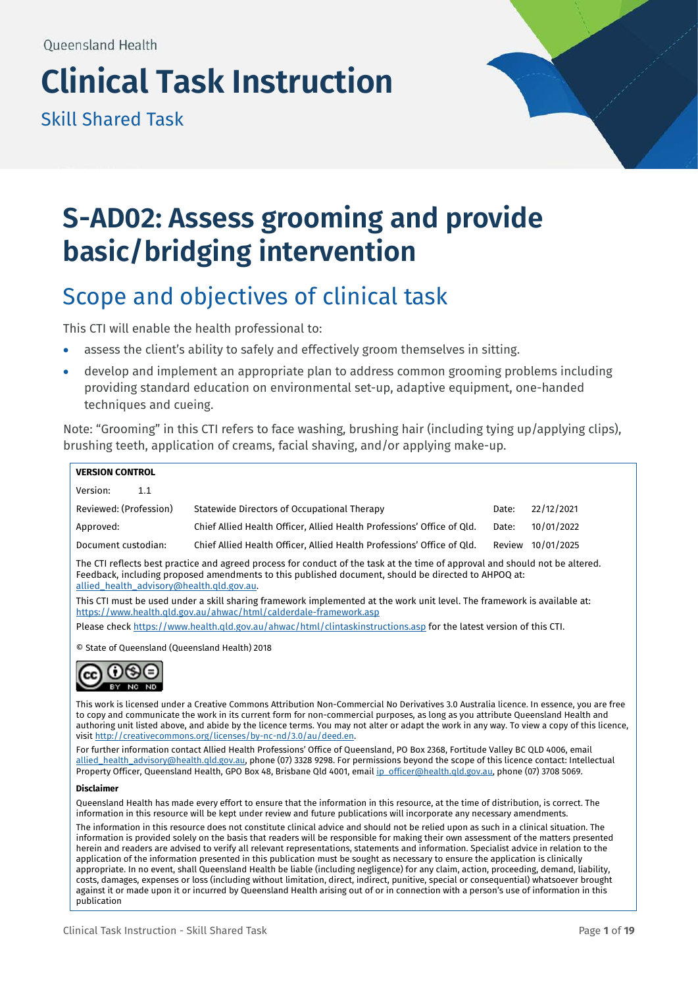# **Clinical Task Instruction**

Skill Shared Task



# **S-AD02: Assess grooming and provide basic/bridging intervention**

## Scope and objectives of clinical task

This CTI will enable the health professional to:

- assess the client's ability to safely and effectively groom themselves in sitting.
- develop and implement an appropriate plan to address common grooming problems including providing standard education on environmental set-up, adaptive equipment, one-handed techniques and cueing.

Note: "Grooming" in this CTI refers to face washing, brushing hair (including tying up/applying clips), brushing teeth, application of creams, facial shaving, and/or applying make-up.

| <b>VERSION CONTROL</b>                                                                                                                                                                                                                                                           |                                                                        |        |            |
|----------------------------------------------------------------------------------------------------------------------------------------------------------------------------------------------------------------------------------------------------------------------------------|------------------------------------------------------------------------|--------|------------|
| Version:<br>1.1                                                                                                                                                                                                                                                                  |                                                                        |        |            |
| Reviewed: (Profession)                                                                                                                                                                                                                                                           | Statewide Directors of Occupational Therapy                            | Date:  | 22/12/2021 |
| Approved:                                                                                                                                                                                                                                                                        | Chief Allied Health Officer, Allied Health Professions' Office of Qld. | Date:  | 10/01/2022 |
| Document custodian:                                                                                                                                                                                                                                                              | Chief Allied Health Officer, Allied Health Professions' Office of Qld. | Review | 10/01/2025 |
| The CTI reflects best practice and agreed process for conduct of the task at the time of approval and should not be altered.<br>Feedback, including proposed amendments to this published document, should be directed to AHPOQ at:<br>allied health advisory@health.gld.gov.au. |                                                                        |        |            |

This CTI must be used under a skill sharing framework implemented at the work unit level. The framework is available at: <https://www.health.qld.gov.au/ahwac/html/calderdale-framework.asp>

Please chec[k https://www.health.qld.gov.au/ahwac/html/clintaskinstructions.asp](https://www.health.qld.gov.au/ahwac/html/clintaskinstructions.asp) for the latest version of this CTI.

© State of Queensland (Queensland Health) 2018



This work is licensed under a Creative Commons Attribution Non-Commercial No Derivatives 3.0 Australia licence. In essence, you are free to copy and communicate the work in its current form for non-commercial purposes, as long as you attribute Queensland Health and authoring unit listed above, and abide by the licence terms. You may not alter or adapt the work in any way. To view a copy of this licence, visi[t http://creativecommons.org/licenses/by-nc-nd/3.0/au/deed.en.](http://creativecommons.org/licenses/by-nc-nd/3.0/au/deed.en) 

For further information contact Allied Health Professions' Office of Queensland, PO Box 2368, Fortitude Valley BC QLD 4006, email [allied\\_health\\_advisory@health.qld.gov.au,](mailto:allied_health_advisory@health.qld.gov.au) phone (07) 3328 9298. For permissions beyond the scope of this licence contact: Intellectual Property Officer, Queensland Health, GPO Box 48, Brisbane Qld 4001, emai[l ip\\_officer@health.qld.gov.au,](mailto:ip_officer@health.qld.gov.au) phone (07) 3708 5069.

#### **Disclaimer**

Queensland Health has made every effort to ensure that the information in this resource, at the time of distribution, is correct. The information in this resource will be kept under review and future publications will incorporate any necessary amendments.

The information in this resource does not constitute clinical advice and should not be relied upon as such in a clinical situation. The information is provided solely on the basis that readers will be responsible for making their own assessment of the matters presented herein and readers are advised to verify all relevant representations, statements and information. Specialist advice in relation to the application of the information presented in this publication must be sought as necessary to ensure the application is clinically appropriate. In no event, shall Queensland Health be liable (including negligence) for any claim, action, proceeding, demand, liability, costs, damages, expenses or loss (including without limitation, direct, indirect, punitive, special or consequential) whatsoever brought against it or made upon it or incurred by Queensland Health arising out of or in connection with a person's use of information in this publication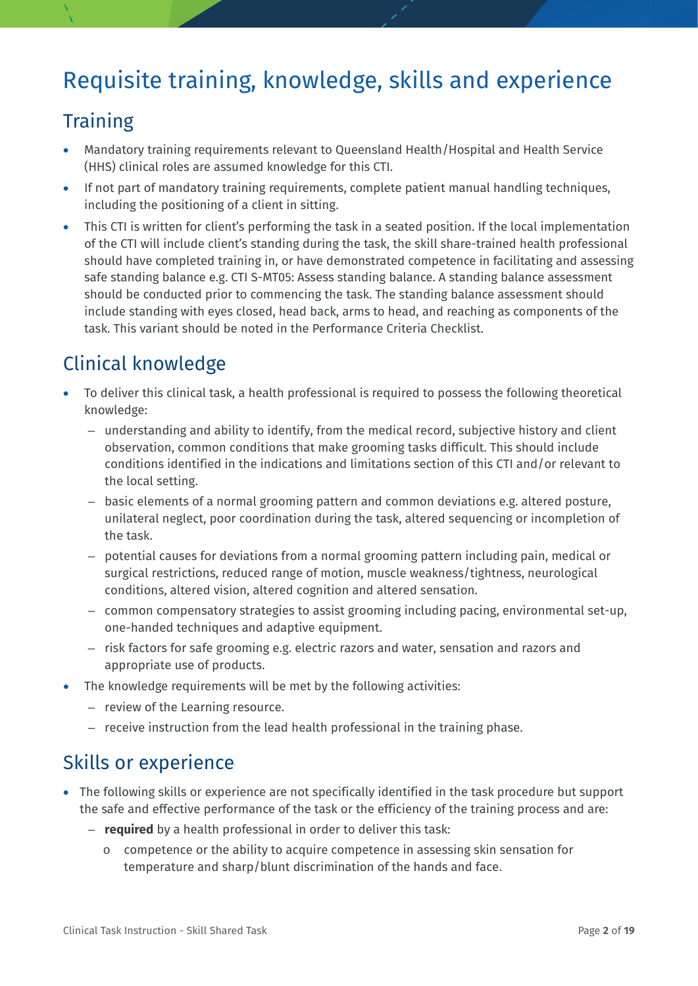# Requisite training, knowledge, skills and experience

## **Training**

- Mandatory training requirements relevant to Queensland Health/Hospital and Health Service (HHS) clinical roles are assumed knowledge for this CTI.
- If not part of mandatory training requirements, complete patient manual handling techniques, including the positioning of a client in sitting.
- This CTI is written for client's performing the task in a seated position. If the local implementation of the CTI will include client's standing during the task, the skill share-trained health professional should have completed training in, or have demonstrated competence in facilitating and assessing safe standing balance e.g. CTI S-MT05: Assess standing balance. A standing balance assessment should be conducted prior to commencing the task. The standing balance assessment should include standing with eyes closed, head back, arms to head, and reaching as components of the task. This variant should be noted in the Performance Criteria Checklist.

## Clinical knowledge

- To deliver this clinical task, a health professional is required to possess the following theoretical knowledge:
	- understanding and ability to identify, from the medical record, subjective history and client observation, common conditions that make grooming tasks difficult. This should include conditions identified in the indications and limitations section of this CTI and/or relevant to the local setting.
	- basic elements of a normal grooming pattern and common deviations e.g. altered posture, unilateral neglect, poor coordination during the task, altered sequencing or incompletion of the task.
	- potential causes for deviations from a normal grooming pattern including pain, medical or surgical restrictions, reduced range of motion, muscle weakness/tightness, neurological conditions, altered vision, altered cognition and altered sensation.
	- common compensatory strategies to assist grooming including pacing, environmental set-up, one-handed techniques and adaptive equipment.
	- risk factors for safe grooming e.g. electric razors and water, sensation and razors and appropriate use of products.
- The knowledge requirements will be met by the following activities:
	- review of the Learning resource.
	- receive instruction from the lead health professional in the training phase.

### Skills or experience

- The following skills or experience are not specifically identified in the task procedure but support the safe and effective performance of the task or the efficiency of the training process and are:
	- **required** by a health professional in order to deliver this task:
		- o competence or the ability to acquire competence in assessing skin sensation for temperature and sharp/blunt discrimination of the hands and face.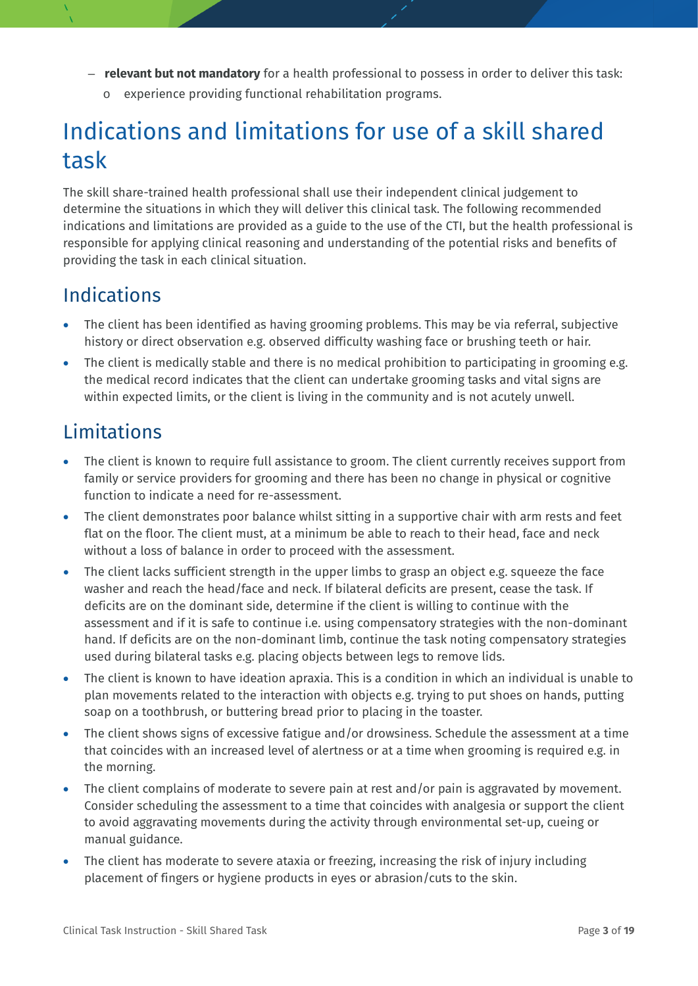- **relevant but not mandatory** for a health professional to possess in order to deliver this task:
	- o experience providing functional rehabilitation programs.

## Indications and limitations for use of a skill shared task

The skill share-trained health professional shall use their independent clinical judgement to determine the situations in which they will deliver this clinical task. The following recommended indications and limitations are provided as a guide to the use of the CTI, but the health professional is responsible for applying clinical reasoning and understanding of the potential risks and benefits of providing the task in each clinical situation.

#### Indications

- The client has been identified as having grooming problems. This may be via referral, subjective history or direct observation e.g. observed difficulty washing face or brushing teeth or hair.
- The client is medically stable and there is no medical prohibition to participating in grooming e.g. the medical record indicates that the client can undertake grooming tasks and vital signs are within expected limits, or the client is living in the community and is not acutely unwell.

## **Limitations**

- The client is known to require full assistance to groom. The client currently receives support from family or service providers for grooming and there has been no change in physical or cognitive function to indicate a need for re-assessment.
- The client demonstrates poor balance whilst sitting in a supportive chair with arm rests and feet flat on the floor. The client must, at a minimum be able to reach to their head, face and neck without a loss of balance in order to proceed with the assessment.
- The client lacks sufficient strength in the upper limbs to grasp an object e.g. squeeze the face washer and reach the head/face and neck. If bilateral deficits are present, cease the task. If deficits are on the dominant side, determine if the client is willing to continue with the assessment and if it is safe to continue i.e. using compensatory strategies with the non-dominant hand. If deficits are on the non-dominant limb, continue the task noting compensatory strategies used during bilateral tasks e.g. placing objects between legs to remove lids.
- The client is known to have ideation apraxia. This is a condition in which an individual is unable to plan movements related to the interaction with objects e.g. trying to put shoes on hands, putting soap on a toothbrush, or buttering bread prior to placing in the toaster.
- The client shows signs of excessive fatigue and/or drowsiness. Schedule the assessment at a time that coincides with an increased level of alertness or at a time when grooming is required e.g. in the morning.
- The client complains of moderate to severe pain at rest and/or pain is aggravated by movement. Consider scheduling the assessment to a time that coincides with analgesia or support the client to avoid aggravating movements during the activity through environmental set-up, cueing or manual guidance.
- The client has moderate to severe ataxia or freezing, increasing the risk of injury including placement of fingers or hygiene products in eyes or abrasion/cuts to the skin.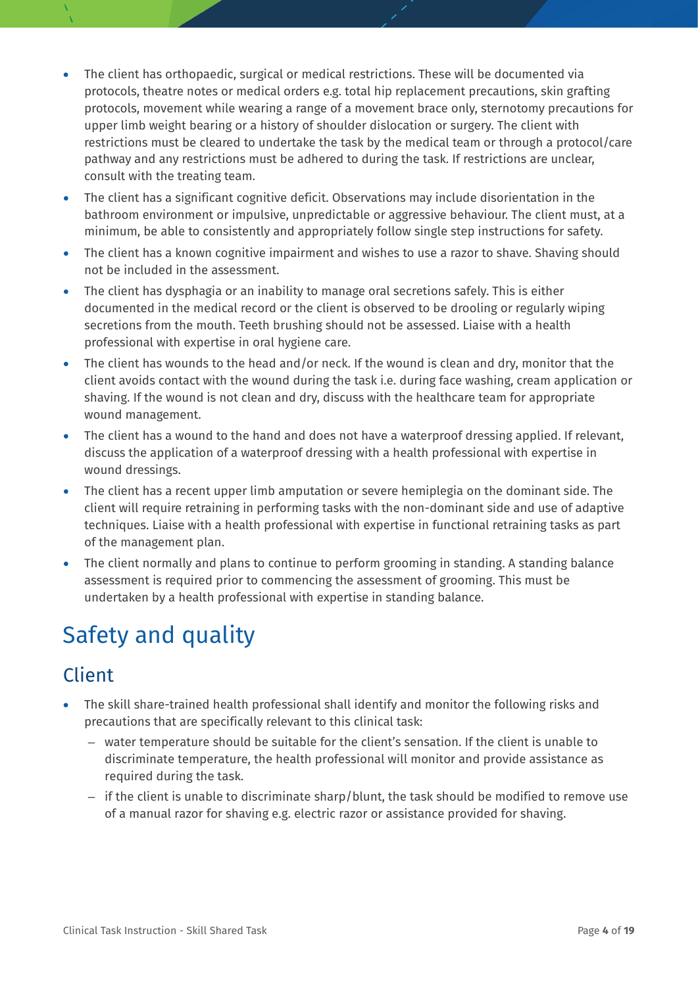- The client has orthopaedic, surgical or medical restrictions. These will be documented via protocols, theatre notes or medical orders e.g. total hip replacement precautions, skin grafting protocols, movement while wearing a range of a movement brace only, sternotomy precautions for upper limb weight bearing or a history of shoulder dislocation or surgery. The client with restrictions must be cleared to undertake the task by the medical team or through a protocol/care pathway and any restrictions must be adhered to during the task. If restrictions are unclear, consult with the treating team.
- The client has a significant cognitive deficit. Observations may include disorientation in the bathroom environment or impulsive, unpredictable or aggressive behaviour. The client must, at a minimum, be able to consistently and appropriately follow single step instructions for safety.
- The client has a known cognitive impairment and wishes to use a razor to shave. Shaving should not be included in the assessment.
- The client has dysphagia or an inability to manage oral secretions safely. This is either documented in the medical record or the client is observed to be drooling or regularly wiping secretions from the mouth. Teeth brushing should not be assessed. Liaise with a health professional with expertise in oral hygiene care.
- The client has wounds to the head and/or neck. If the wound is clean and dry, monitor that the client avoids contact with the wound during the task i.e. during face washing, cream application or shaving. If the wound is not clean and dry, discuss with the healthcare team for appropriate wound management.
- The client has a wound to the hand and does not have a waterproof dressing applied. If relevant, discuss the application of a waterproof dressing with a health professional with expertise in wound dressings.
- The client has a recent upper limb amputation or severe hemiplegia on the dominant side. The client will require retraining in performing tasks with the non-dominant side and use of adaptive techniques. Liaise with a health professional with expertise in functional retraining tasks as part of the management plan.
- The client normally and plans to continue to perform grooming in standing. A standing balance assessment is required prior to commencing the assessment of grooming. This must be undertaken by a health professional with expertise in standing balance.

# Safety and quality

## Client

- The skill share-trained health professional shall identify and monitor the following risks and precautions that are specifically relevant to this clinical task:
	- water temperature should be suitable for the client's sensation. If the client is unable to discriminate temperature, the health professional will monitor and provide assistance as required during the task.
	- if the client is unable to discriminate sharp/blunt, the task should be modified to remove use of a manual razor for shaving e.g. electric razor or assistance provided for shaving.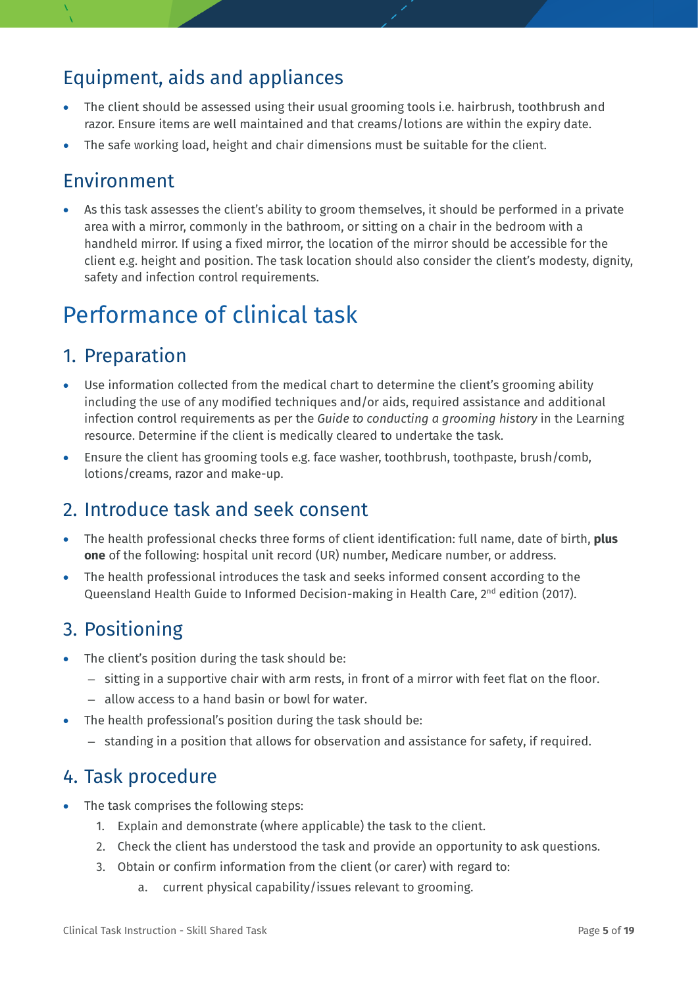## Equipment, aids and appliances

- The client should be assessed using their usual grooming tools i.e. hairbrush, toothbrush and razor. Ensure items are well maintained and that creams/lotions are within the expiry date.
- The safe working load, height and chair dimensions must be suitable for the client.

### Environment

• As this task assesses the client's ability to groom themselves, it should be performed in a private area with a mirror, commonly in the bathroom, or sitting on a chair in the bedroom with a handheld mirror. If using a fixed mirror, the location of the mirror should be accessible for the client e.g. height and position. The task location should also consider the client's modesty, dignity, safety and infection control requirements.

## Performance of clinical task

### 1. Preparation

- Use information collected from the medical chart to determine the client's grooming ability including the use of any modified techniques and/or aids, required assistance and additional infection control requirements as per the *Guide to conducting a grooming history* in the Learning resource. Determine if the client is medically cleared to undertake the task.
- Ensure the client has grooming tools e.g. face washer, toothbrush, toothpaste, brush/comb, lotions/creams, razor and make-up.

#### 2. Introduce task and seek consent

- The health professional checks three forms of client identification: full name, date of birth, **plus one** of the following: hospital unit record (UR) number, Medicare number, or address.
- The health professional introduces the task and seeks informed consent according to the Queensland Health Guide to Informed Decision-making in Health Care,  $2^{nd}$  edition (2017).

### 3. Positioning

- The client's position during the task should be:
	- sitting in a supportive chair with arm rests, in front of a mirror with feet flat on the floor.
	- allow access to a hand basin or bowl for water.
- The health professional's position during the task should be:
	- standing in a position that allows for observation and assistance for safety, if required.

### 4. Task procedure

- The task comprises the following steps:
	- 1. Explain and demonstrate (where applicable) the task to the client.
	- 2. Check the client has understood the task and provide an opportunity to ask questions.
	- 3. Obtain or confirm information from the client (or carer) with regard to:
		- a. current physical capability/issues relevant to grooming.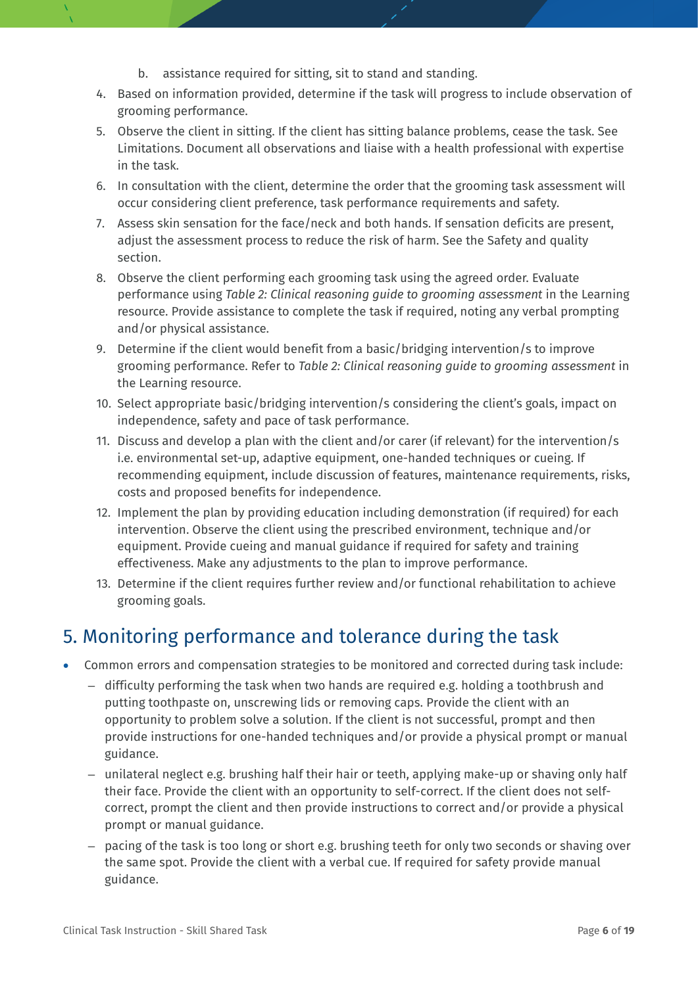- b. assistance required for sitting, sit to stand and standing.
- 4. Based on information provided, determine if the task will progress to include observation of grooming performance.
- 5. Observe the client in sitting. If the client has sitting balance problems, cease the task. See Limitations. Document all observations and liaise with a health professional with expertise in the task.
- 6. In consultation with the client, determine the order that the grooming task assessment will occur considering client preference, task performance requirements and safety.
- 7. Assess skin sensation for the face/neck and both hands. If sensation deficits are present, adjust the assessment process to reduce the risk of harm. See the Safety and quality section.
- 8. Observe the client performing each grooming task using the agreed order. Evaluate performance using *[Table 2:](#page-16-0) Clinical reasoning guide to grooming assessment* in the Learning resource. Provide assistance to complete the task if required, noting any verbal prompting and/or physical assistance.
- 9. Determine if the client would benefit from a basic/bridging intervention/s to improve grooming performance. Refer to *[Table 2:](#page-16-0) Clinical reasoning guide to grooming assessment* in the Learning resource.
- 10. Select appropriate basic/bridging intervention/s considering the client's goals, impact on independence, safety and pace of task performance.
- 11. Discuss and develop a plan with the client and/or carer (if relevant) for the intervention/s i.e. environmental set-up, adaptive equipment, one-handed techniques or cueing. If recommending equipment, include discussion of features, maintenance requirements, risks, costs and proposed benefits for independence.
- 12. Implement the plan by providing education including demonstration (if required) for each intervention. Observe the client using the prescribed environment, technique and/or equipment. Provide cueing and manual guidance if required for safety and training effectiveness. Make any adjustments to the plan to improve performance.
- 13. Determine if the client requires further review and/or functional rehabilitation to achieve grooming goals.

## 5. Monitoring performance and tolerance during the task

- Common errors and compensation strategies to be monitored and corrected during task include:
	- difficulty performing the task when two hands are required e.g. holding a toothbrush and putting toothpaste on, unscrewing lids or removing caps. Provide the client with an opportunity to problem solve a solution. If the client is not successful, prompt and then provide instructions for one-handed techniques and/or provide a physical prompt or manual guidance.
	- unilateral neglect e.g. brushing half their hair or teeth, applying make-up or shaving only half their face. Provide the client with an opportunity to self-correct. If the client does not selfcorrect, prompt the client and then provide instructions to correct and/or provide a physical prompt or manual guidance.
	- pacing of the task is too long or short e.g. brushing teeth for only two seconds or shaving over the same spot. Provide the client with a verbal cue. If required for safety provide manual guidance.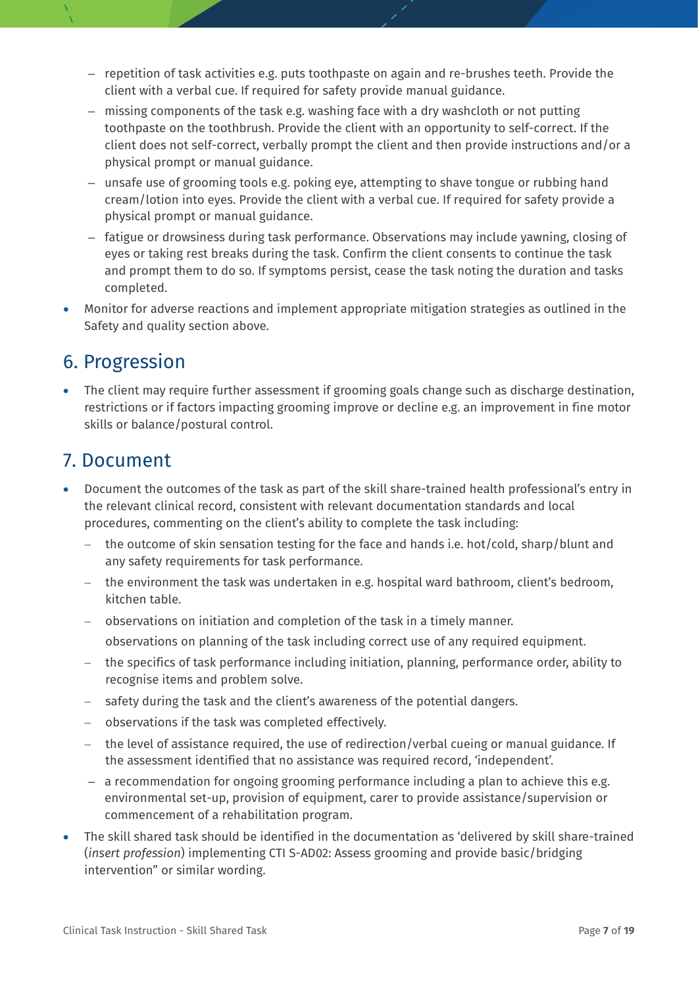- repetition of task activities e.g. puts toothpaste on again and re-brushes teeth. Provide the client with a verbal cue. If required for safety provide manual guidance.
- missing components of the task e.g. washing face with a dry washcloth or not putting toothpaste on the toothbrush. Provide the client with an opportunity to self-correct. If the client does not self-correct, verbally prompt the client and then provide instructions and/or a physical prompt or manual guidance.
- unsafe use of grooming tools e.g. poking eye, attempting to shave tongue or rubbing hand cream/lotion into eyes. Provide the client with a verbal cue. If required for safety provide a physical prompt or manual guidance.
- fatigue or drowsiness during task performance. Observations may include yawning, closing of eyes or taking rest breaks during the task. Confirm the client consents to continue the task and prompt them to do so. If symptoms persist, cease the task noting the duration and tasks completed.
- Monitor for adverse reactions and implement appropriate mitigation strategies as outlined in the Safety and quality section above.

### 6. Progression

• The client may require further assessment if grooming goals change such as discharge destination, restrictions or if factors impacting grooming improve or decline e.g. an improvement in fine motor skills or balance/postural control.

#### 7. Document

- Document the outcomes of the task as part of the skill share-trained health professional's entry in the relevant clinical record, consistent with relevant documentation standards and local procedures, commenting on the client's ability to complete the task including:
	- − the outcome of skin sensation testing for the face and hands i.e. hot/cold, sharp/blunt and any safety requirements for task performance.
	- − the environment the task was undertaken in e.g. hospital ward bathroom, client's bedroom, kitchen table.
	- − observations on initiation and completion of the task in a timely manner. observations on planning of the task including correct use of any required equipment.
	- − the specifics of task performance including initiation, planning, performance order, ability to recognise items and problem solve.
	- − safety during the task and the client's awareness of the potential dangers.
	- − observations if the task was completed effectively.
	- − the level of assistance required, the use of redirection/verbal cueing or manual guidance. If the assessment identified that no assistance was required record, 'independent'.
	- a recommendation for ongoing grooming performance including a plan to achieve this e.g. environmental set-up, provision of equipment, carer to provide assistance/supervision or commencement of a rehabilitation program.
- The skill shared task should be identified in the documentation as 'delivered by skill share-trained (*insert profession*) implementing CTI S-AD02: Assess grooming and provide basic/bridging intervention" or similar wording.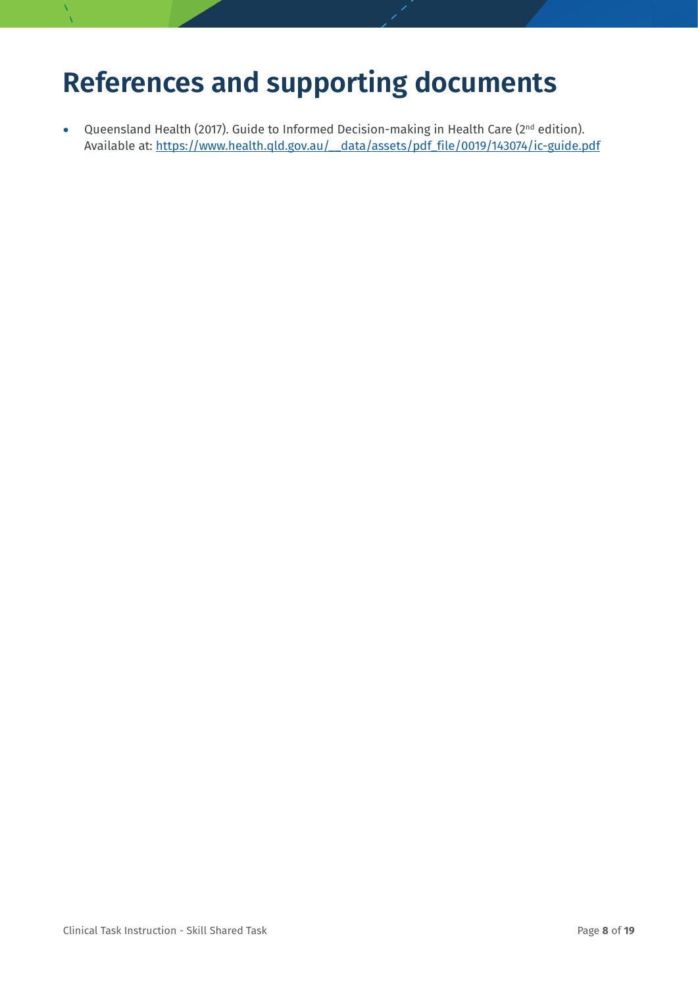# **References and supporting documents**

• Queensland Health (2017). Guide to Informed Decision-making in Health Care (2<sup>nd</sup> edition). Available at: https://www.health.qld.gov.au/ data/assets/pdf\_file/0019/143074/ic-guide.pdf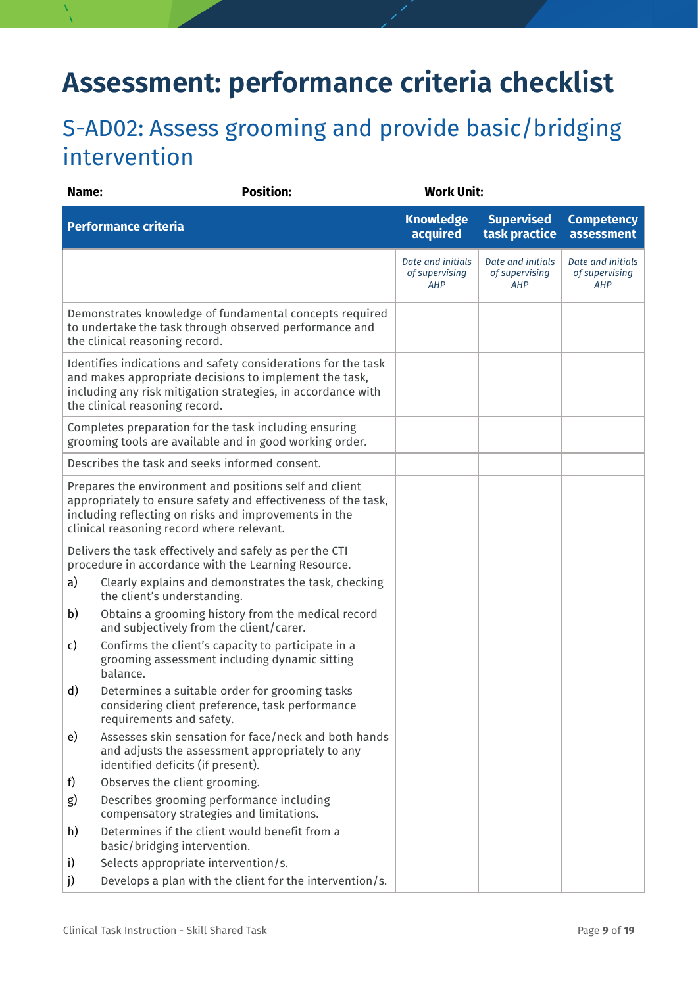# **Assessment: performance criteria checklist**

# S-AD02: Assess grooming and provide basic/bridging intervention

| <b>Position:</b><br>Name:                                                                                                                                                                                                     |                                                                                                                                                     | <b>Work Unit:</b>                          |                                            |                                            |  |
|-------------------------------------------------------------------------------------------------------------------------------------------------------------------------------------------------------------------------------|-----------------------------------------------------------------------------------------------------------------------------------------------------|--------------------------------------------|--------------------------------------------|--------------------------------------------|--|
|                                                                                                                                                                                                                               | <b>Performance criteria</b>                                                                                                                         | <b>Knowledge</b><br>acquired               | <b>Supervised</b><br>task practice         | <b>Competency</b><br>assessment            |  |
|                                                                                                                                                                                                                               |                                                                                                                                                     | Date and initials<br>of supervising<br>AHP | Date and initials<br>of supervising<br>AHP | Date and initials<br>of supervising<br>AHP |  |
|                                                                                                                                                                                                                               | Demonstrates knowledge of fundamental concepts required<br>to undertake the task through observed performance and<br>the clinical reasoning record. |                                            |                                            |                                            |  |
| Identifies indications and safety considerations for the task<br>and makes appropriate decisions to implement the task,<br>including any risk mitigation strategies, in accordance with<br>the clinical reasoning record.     |                                                                                                                                                     |                                            |                                            |                                            |  |
|                                                                                                                                                                                                                               | Completes preparation for the task including ensuring<br>grooming tools are available and in good working order.                                    |                                            |                                            |                                            |  |
|                                                                                                                                                                                                                               | Describes the task and seeks informed consent.                                                                                                      |                                            |                                            |                                            |  |
| Prepares the environment and positions self and client<br>appropriately to ensure safety and effectiveness of the task,<br>including reflecting on risks and improvements in the<br>clinical reasoning record where relevant. |                                                                                                                                                     |                                            |                                            |                                            |  |
|                                                                                                                                                                                                                               | Delivers the task effectively and safely as per the CTI<br>procedure in accordance with the Learning Resource.                                      |                                            |                                            |                                            |  |
| a)                                                                                                                                                                                                                            | Clearly explains and demonstrates the task, checking<br>the client's understanding.                                                                 |                                            |                                            |                                            |  |
| b)                                                                                                                                                                                                                            | Obtains a grooming history from the medical record<br>and subjectively from the client/carer.                                                       |                                            |                                            |                                            |  |
| $\mathsf{c}$                                                                                                                                                                                                                  | Confirms the client's capacity to participate in a<br>grooming assessment including dynamic sitting<br>balance.                                     |                                            |                                            |                                            |  |
| $\mathsf{d}$                                                                                                                                                                                                                  | Determines a suitable order for grooming tasks<br>considering client preference, task performance<br>requirements and safety.                       |                                            |                                            |                                            |  |
| e)                                                                                                                                                                                                                            | Assesses skin sensation for face/neck and both hands<br>and adjusts the assessment appropriately to any<br>identified deficits (if present).        |                                            |                                            |                                            |  |
| f)                                                                                                                                                                                                                            | Observes the client grooming.                                                                                                                       |                                            |                                            |                                            |  |
| g)                                                                                                                                                                                                                            | Describes grooming performance including<br>compensatory strategies and limitations.                                                                |                                            |                                            |                                            |  |
| h)                                                                                                                                                                                                                            | Determines if the client would benefit from a<br>basic/bridging intervention.                                                                       |                                            |                                            |                                            |  |
| i)                                                                                                                                                                                                                            | Selects appropriate intervention/s.                                                                                                                 |                                            |                                            |                                            |  |
| j)                                                                                                                                                                                                                            | Develops a plan with the client for the intervention/s.                                                                                             |                                            |                                            |                                            |  |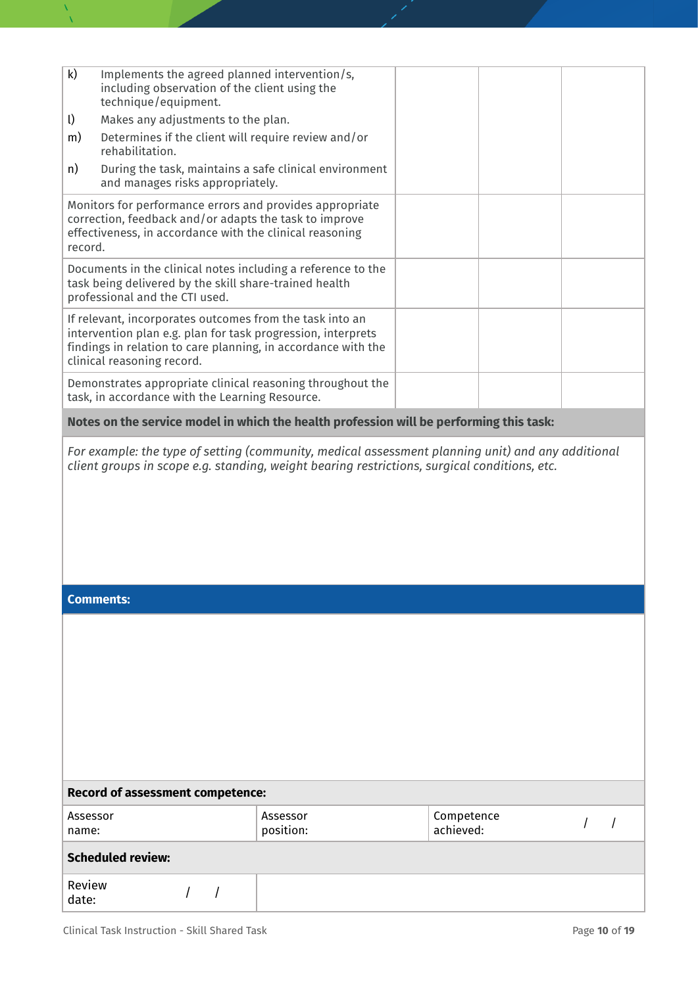| $\mathsf{k}$<br>Implements the agreed planned intervention/s,<br>including observation of the client using the<br>technique/equipment.                                                                                  |                       |                         |  |  |  |
|-------------------------------------------------------------------------------------------------------------------------------------------------------------------------------------------------------------------------|-----------------------|-------------------------|--|--|--|
| Makes any adjustments to the plan.<br>I)                                                                                                                                                                                |                       |                         |  |  |  |
| Determines if the client will require review and/or<br>m)<br>rehabilitation.                                                                                                                                            |                       |                         |  |  |  |
| During the task, maintains a safe clinical environment<br>n)<br>and manages risks appropriately.                                                                                                                        |                       |                         |  |  |  |
| Monitors for performance errors and provides appropriate<br>correction, feedback and/or adapts the task to improve<br>effectiveness, in accordance with the clinical reasoning<br>record.                               |                       |                         |  |  |  |
| Documents in the clinical notes including a reference to the<br>task being delivered by the skill share-trained health<br>professional and the CTI used.                                                                |                       |                         |  |  |  |
| If relevant, incorporates outcomes from the task into an<br>intervention plan e.g. plan for task progression, interprets<br>findings in relation to care planning, in accordance with the<br>clinical reasoning record. |                       |                         |  |  |  |
| Demonstrates appropriate clinical reasoning throughout the<br>task, in accordance with the Learning Resource.                                                                                                           |                       |                         |  |  |  |
| Notes on the service model in which the health profession will be performing this task:                                                                                                                                 |                       |                         |  |  |  |
| For example: the type of setting (community, medical assessment planning unit) and any additional<br>client groups in scope e.g. standing, weight bearing restrictions, surgical conditions, etc.                       |                       |                         |  |  |  |
| <b>Comments:</b>                                                                                                                                                                                                        |                       |                         |  |  |  |
|                                                                                                                                                                                                                         |                       |                         |  |  |  |
| <b>Record of assessment competence:</b>                                                                                                                                                                                 |                       |                         |  |  |  |
| Assessor<br>name:                                                                                                                                                                                                       | Assessor<br>position: | Competence<br>achieved: |  |  |  |
| <b>Scheduled review:</b>                                                                                                                                                                                                |                       |                         |  |  |  |
| Review<br>$\prime$<br>date:                                                                                                                                                                                             |                       |                         |  |  |  |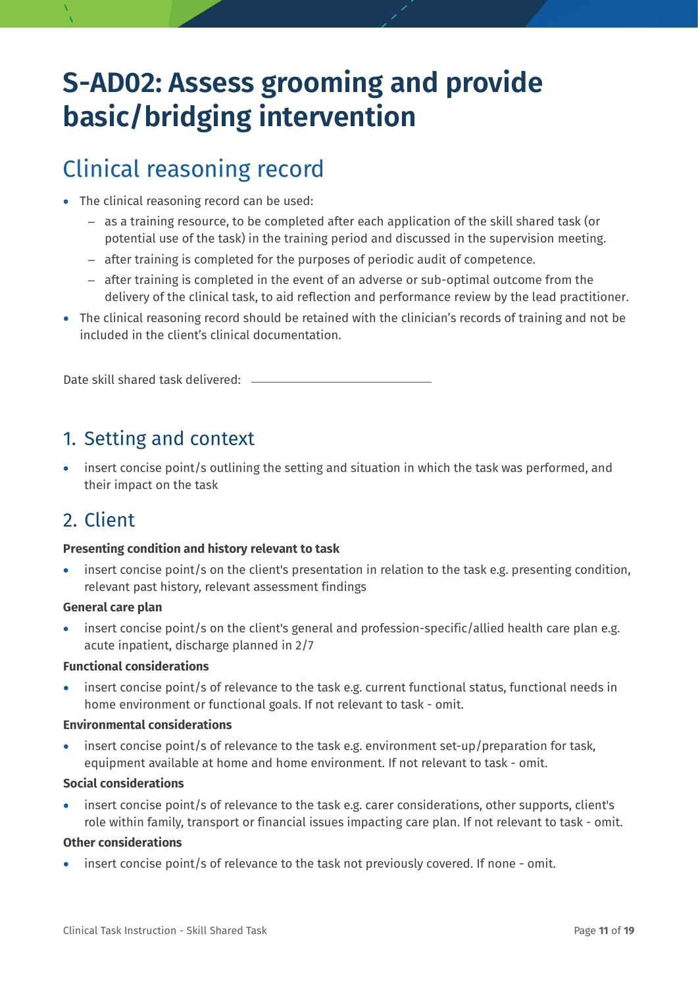# **S-AD02: Assess grooming and provide basic/bridging intervention**

## Clinical reasoning record

- The clinical reasoning record can be used:
	- as a training resource, to be completed after each application of the skill shared task (or potential use of the task) in the training period and discussed in the supervision meeting.
	- after training is completed for the purposes of periodic audit of competence.
	- after training is completed in the event of an adverse or sub-optimal outcome from the delivery of the clinical task, to aid reflection and performance review by the lead practitioner.
- The clinical reasoning record should be retained with the clinician's records of training and not be included in the client's clinical documentation.

Date skill shared task delivered:

#### 1. Setting and context

• insert concise point/s outlining the setting and situation in which the task was performed, and their impact on the task

## 2. Client

#### **Presenting condition and history relevant to task**

insert concise point/s on the client's presentation in relation to the task e.g. presenting condition, relevant past history, relevant assessment findings

#### **General care plan**

insert concise point/s on the client's general and profession-specific/allied health care plan e.g. acute inpatient, discharge planned in 2/7

#### **Functional considerations**

insert concise point/s of relevance to the task e.g. current functional status, functional needs in home environment or functional goals. If not relevant to task - omit.

#### **Environmental considerations**

insert concise point/s of relevance to the task e.g. environment set-up/preparation for task, equipment available at home and home environment. If not relevant to task - omit.

#### **Social considerations**

• insert concise point/s of relevance to the task e.g. carer considerations, other supports, client's role within family, transport or financial issues impacting care plan. If not relevant to task - omit.

#### **Other considerations**

insert concise point/s of relevance to the task not previously covered. If none - omit.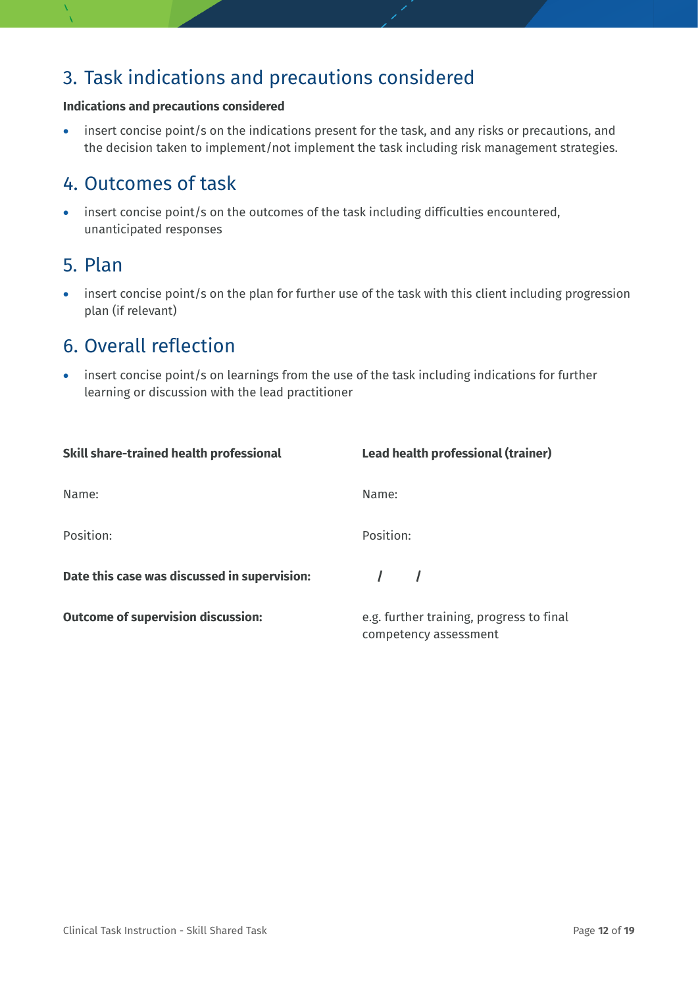## 3. Task indications and precautions considered

#### **Indications and precautions considered**

• insert concise point/s on the indications present for the task, and any risks or precautions, and the decision taken to implement/not implement the task including risk management strategies.

#### 4. Outcomes of task

• insert concise point/s on the outcomes of the task including difficulties encountered, unanticipated responses

#### 5. Plan

• insert concise point/s on the plan for further use of the task with this client including progression plan (if relevant)

#### 6. Overall reflection

• insert concise point/s on learnings from the use of the task including indications for further learning or discussion with the lead practitioner

| Skill share-trained health professional      | Lead health professional (trainer)                                |
|----------------------------------------------|-------------------------------------------------------------------|
| Name:                                        | Name:                                                             |
| Position:                                    | Position:                                                         |
| Date this case was discussed in supervision: |                                                                   |
| <b>Outcome of supervision discussion:</b>    | e.g. further training, progress to final<br>competency assessment |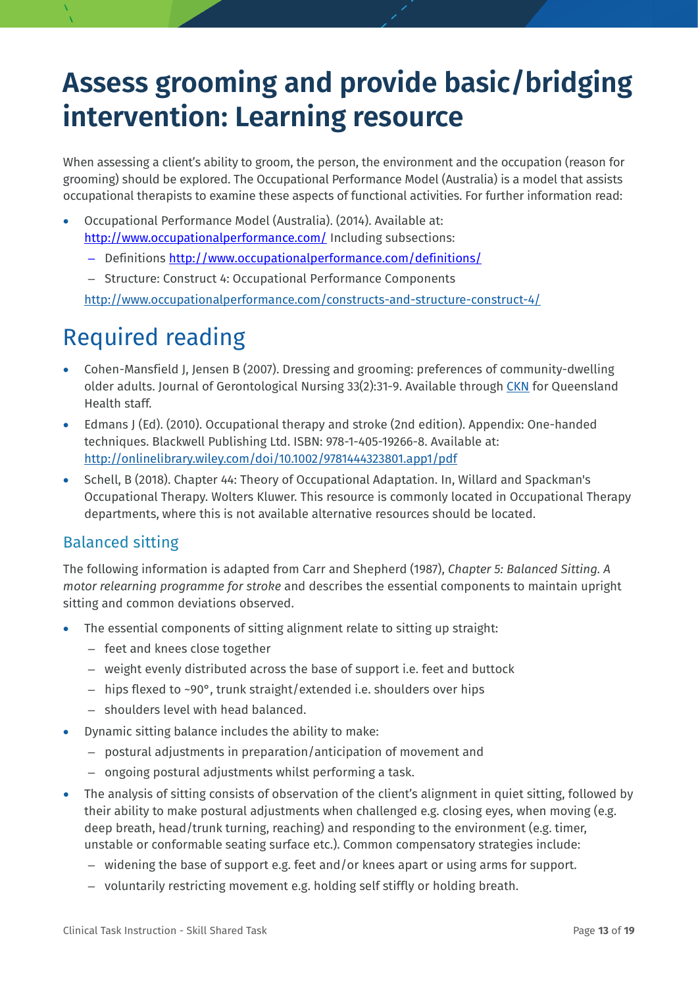# **Assess grooming and provide basic/bridging intervention: Learning resource**

When assessing a client's ability to groom, the person, the environment and the occupation (reason for grooming) should be explored. The Occupational Performance Model (Australia) is a model that assists occupational therapists to examine these aspects of functional activities. For further information read:

- Occupational Performance Model (Australia). (2014). Available at: <http://www.occupationalperformance.com/> Including subsections:
	- Definitions <http://www.occupationalperformance.com/definitions/>
	- Structure: Construct 4: Occupational Performance Components

<http://www.occupationalperformance.com/constructs-and-structure-construct-4/>

## Required reading

- Cohen-Mansfield J, Jensen B (2007). Dressing and grooming: preferences of community-dwelling older adults. Journal of Gerontological Nursing 33(2):31-9. Available through [CKN](https://www.ckn.org.au/) for Queensland Health staff.
- Edmans J (Ed). (2010). Occupational therapy and stroke (2nd edition). Appendix: One-handed techniques. Blackwell Publishing Ltd. ISBN: 978-1-405-19266-8. Available at: <http://onlinelibrary.wiley.com/doi/10.1002/9781444323801.app1/pdf>
- Schell, B (2018). Chapter 44: Theory of Occupational Adaptation. In, Willard and Spackman's Occupational Therapy. Wolters Kluwer. This resource is commonly located in Occupational Therapy departments, where this is not available alternative resources should be located.

#### Balanced sitting

The following information is adapted from Carr and Shepherd (1987), *Chapter 5: Balanced Sitting. A motor relearning programme for stroke* and describes the essential components to maintain upright sitting and common deviations observed.

- The essential components of sitting alignment relate to sitting up straight:
	- feet and knees close together
	- weight evenly distributed across the base of support i.e. feet and buttock
	- hips flexed to ~90°, trunk straight/extended i.e. shoulders over hips
	- shoulders level with head balanced.
- Dynamic sitting balance includes the ability to make:
	- postural adjustments in preparation/anticipation of movement and
	- ongoing postural adjustments whilst performing a task.
- The analysis of sitting consists of observation of the client's alignment in quiet sitting, followed by their ability to make postural adjustments when challenged e.g. closing eyes, when moving (e.g. deep breath, head/trunk turning, reaching) and responding to the environment (e.g. timer, unstable or conformable seating surface etc.). Common compensatory strategies include:
	- widening the base of support e.g. feet and/or knees apart or using arms for support.
	- voluntarily restricting movement e.g. holding self stiffly or holding breath.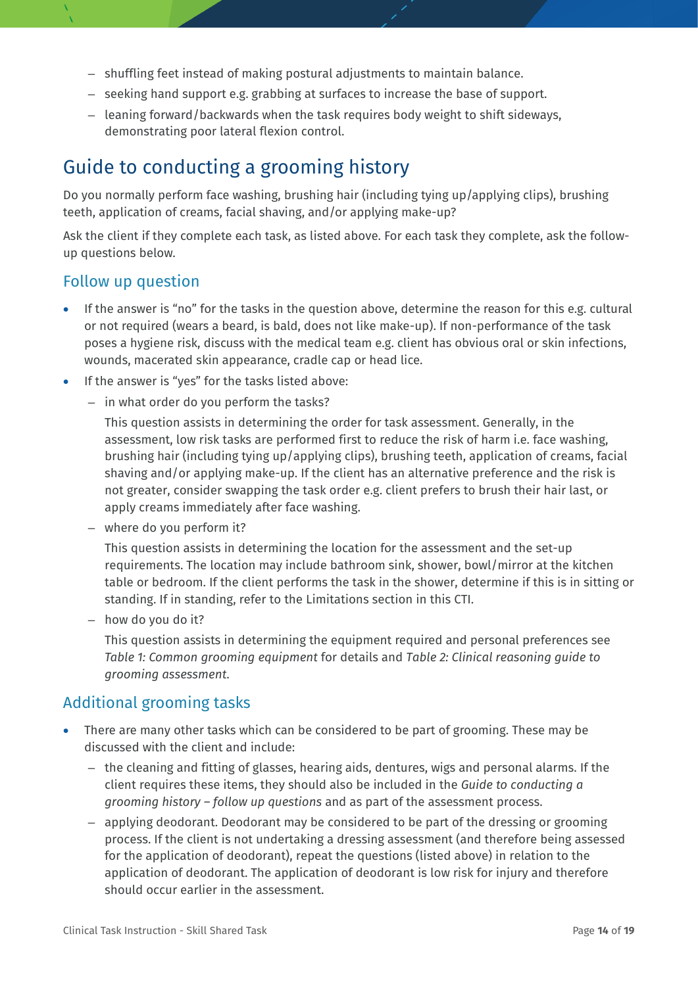- shuffling feet instead of making postural adjustments to maintain balance.
- seeking hand support e.g. grabbing at surfaces to increase the base of support.
- leaning forward/backwards when the task requires body weight to shift sideways, demonstrating poor lateral flexion control.

## Guide to conducting a grooming history

Do you normally perform face washing, brushing hair (including tying up/applying clips), brushing teeth, application of creams, facial shaving, and/or applying make-up?

Ask the client if they complete each task, as listed above. For each task they complete, ask the followup questions below.

#### Follow up question

- If the answer is "no" for the tasks in the question above, determine the reason for this e.g. cultural or not required (wears a beard, is bald, does not like make-up). If non-performance of the task poses a hygiene risk, discuss with the medical team e.g. client has obvious oral or skin infections, wounds, macerated skin appearance, cradle cap or head lice.
- If the answer is "yes" for the tasks listed above:
	- in what order do you perform the tasks?

This question assists in determining the order for task assessment. Generally, in the assessment, low risk tasks are performed first to reduce the risk of harm i.e. face washing, brushing hair (including tying up/applying clips), brushing teeth, application of creams, facial shaving and/or applying make-up. If the client has an alternative preference and the risk is not greater, consider swapping the task order e.g. client prefers to brush their hair last, or apply creams immediately after face washing.

– where do you perform it?

This question assists in determining the location for the assessment and the set-up requirements. The location may include bathroom sink, shower, bowl/mirror at the kitchen table or bedroom. If the client performs the task in the shower, determine if this is in sitting or standing. If in standing, refer to the Limitations section in this CTI.

– how do you do it?

This question assists in determining the equipment required and personal preferences see *Table 1: Common grooming equipment* for details and *Table 2: Clinical reasoning guide to grooming assessment*.

#### Additional grooming tasks

- There are many other tasks which can be considered to be part of grooming. These may be discussed with the client and include:
	- the cleaning and fitting of glasses, hearing aids, dentures, wigs and personal alarms. If the client requires these items, they should also be included in the *Guide to conducting a grooming history – follow up questions* and as part of the assessment process.
	- applying deodorant. Deodorant may be considered to be part of the dressing or grooming process. If the client is not undertaking a dressing assessment (and therefore being assessed for the application of deodorant), repeat the questions (listed above) in relation to the application of deodorant. The application of deodorant is low risk for injury and therefore should occur earlier in the assessment.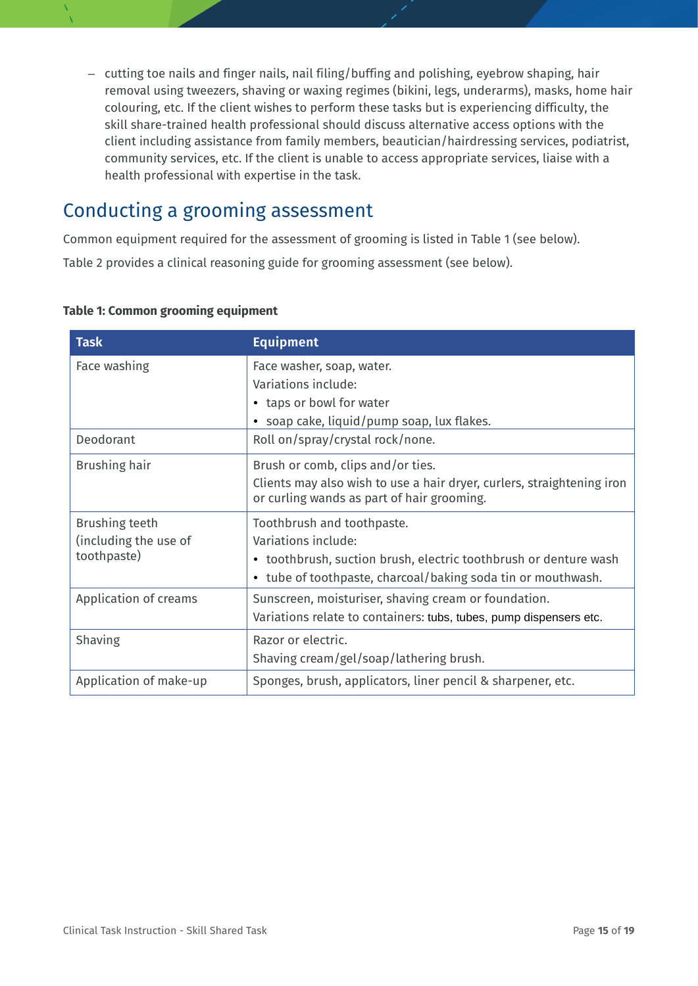– cutting toe nails and finger nails, nail filing/buffing and polishing, eyebrow shaping, hair removal using tweezers, shaving or waxing regimes (bikini, legs, underarms), masks, home hair colouring, etc. If the client wishes to perform these tasks but is experiencing difficulty, the skill share-trained health professional should discuss alternative access options with the client including assistance from family members, beautician/hairdressing services, podiatrist, community services, etc. If the client is unable to access appropriate services, liaise with a health professional with expertise in the task.

### Conducting a grooming assessment

Common equipment required for the assessment of grooming is listed in Table 1 (see below).

Table 2 provides a clinical reasoning guide for grooming assessment (see below).

| <b>Task</b>            | <b>Equipment</b>                                                                                                     |
|------------------------|----------------------------------------------------------------------------------------------------------------------|
| Face washing           | Face washer, soap, water.                                                                                            |
|                        | Variations include:                                                                                                  |
|                        | • taps or bowl for water                                                                                             |
|                        | • soap cake, liquid/pump soap, lux flakes.                                                                           |
| Deodorant              | Roll on/spray/crystal rock/none.                                                                                     |
| <b>Brushing hair</b>   | Brush or comb, clips and/or ties.                                                                                    |
|                        | Clients may also wish to use a hair dryer, curlers, straightening iron<br>or curling wands as part of hair grooming. |
| <b>Brushing teeth</b>  | Toothbrush and toothpaste.                                                                                           |
| (including the use of  | Variations include:                                                                                                  |
| toothpaste)            | • toothbrush, suction brush, electric toothbrush or denture wash                                                     |
|                        | tube of toothpaste, charcoal/baking soda tin or mouthwash.                                                           |
| Application of creams  | Sunscreen, moisturiser, shaving cream or foundation.                                                                 |
|                        | Variations relate to containers: tubs, tubes, pump dispensers etc.                                                   |
| Shaving                | Razor or electric.                                                                                                   |
|                        | Shaving cream/gel/soap/lathering brush.                                                                              |
| Application of make-up | Sponges, brush, applicators, liner pencil & sharpener, etc.                                                          |

#### **Table 1: Common grooming equipment**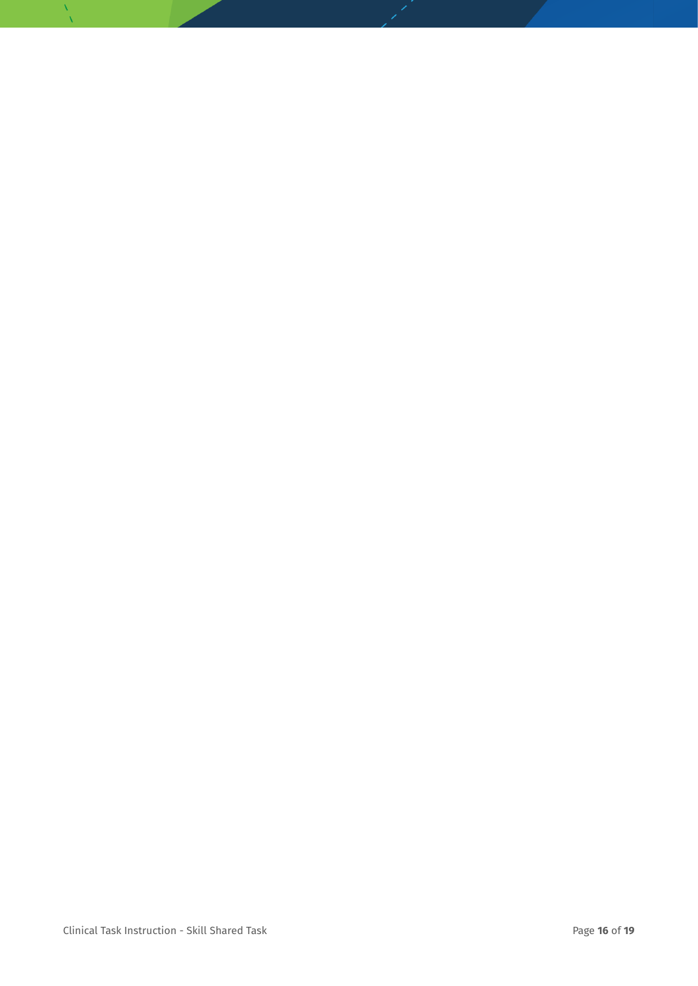#### Clinical Task Instruction - Skill Shared Task Page **16** of **19**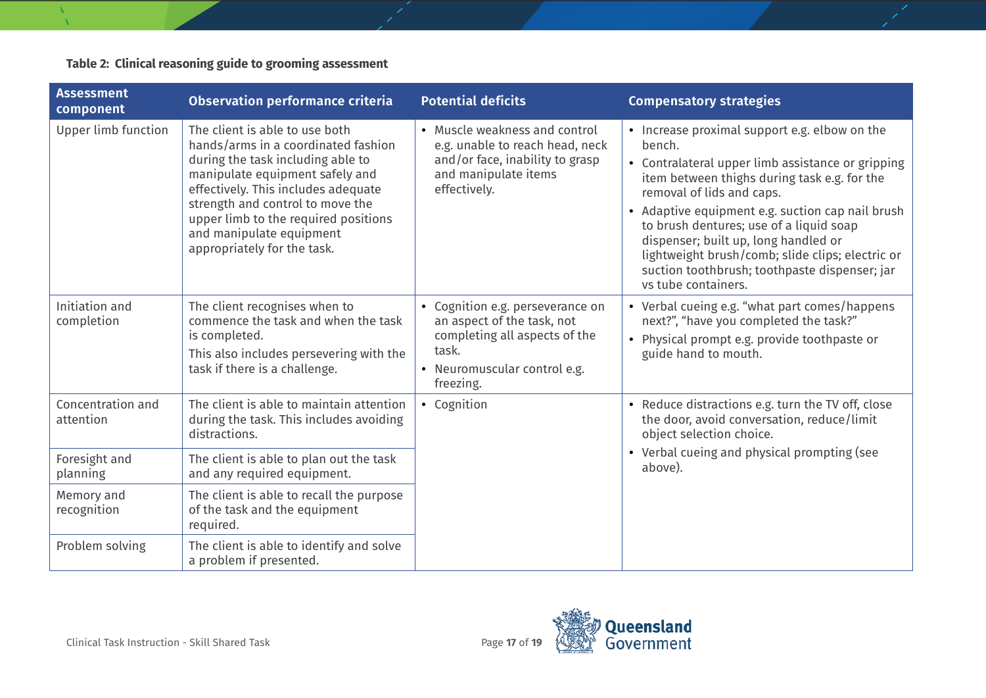#### **Table 2: Clinical reasoning guide to grooming assessment**

<span id="page-16-0"></span>

| <b>Assessment</b><br>component | <b>Observation performance criteria</b>                                                                                                                                                                                                                                                                                     | <b>Potential deficits</b>                                                                                                                             | <b>Compensatory strategies</b>                                                                                                                                                                                                                                                                                                                                                                                                                               |
|--------------------------------|-----------------------------------------------------------------------------------------------------------------------------------------------------------------------------------------------------------------------------------------------------------------------------------------------------------------------------|-------------------------------------------------------------------------------------------------------------------------------------------------------|--------------------------------------------------------------------------------------------------------------------------------------------------------------------------------------------------------------------------------------------------------------------------------------------------------------------------------------------------------------------------------------------------------------------------------------------------------------|
| <b>Upper limb function</b>     | The client is able to use both<br>hands/arms in a coordinated fashion<br>during the task including able to<br>manipulate equipment safely and<br>effectively. This includes adequate<br>strength and control to move the<br>upper limb to the required positions<br>and manipulate equipment<br>appropriately for the task. | • Muscle weakness and control<br>e.g. unable to reach head, neck<br>and/or face, inability to grasp<br>and manipulate items<br>effectively.           | • Increase proximal support e.g. elbow on the<br>bench.<br>• Contralateral upper limb assistance or gripping<br>item between thighs during task e.g. for the<br>removal of lids and caps.<br>• Adaptive equipment e.g. suction cap nail brush<br>to brush dentures; use of a liquid soap<br>dispenser; built up, long handled or<br>lightweight brush/comb; slide clips; electric or<br>suction toothbrush; toothpaste dispenser; jar<br>vs tube containers. |
| Initiation and<br>completion   | The client recognises when to<br>commence the task and when the task<br>is completed.<br>This also includes persevering with the<br>task if there is a challenge.                                                                                                                                                           | • Cognition e.g. perseverance on<br>an aspect of the task, not<br>completing all aspects of the<br>task.<br>• Neuromuscular control e.g.<br>freezing. | • Verbal cueing e.g. "what part comes/happens<br>next?", "have you completed the task?"<br>• Physical prompt e.g. provide toothpaste or<br>guide hand to mouth.                                                                                                                                                                                                                                                                                              |
| Concentration and<br>attention | The client is able to maintain attention<br>during the task. This includes avoiding<br>distractions.                                                                                                                                                                                                                        | • Cognition                                                                                                                                           | • Reduce distractions e.g. turn the TV off, close<br>the door, avoid conversation, reduce/limit<br>object selection choice.                                                                                                                                                                                                                                                                                                                                  |
| Foresight and<br>planning      | The client is able to plan out the task<br>and any required equipment.                                                                                                                                                                                                                                                      |                                                                                                                                                       | • Verbal cueing and physical prompting (see<br>above).                                                                                                                                                                                                                                                                                                                                                                                                       |
| Memory and<br>recognition      | The client is able to recall the purpose<br>of the task and the equipment<br>required.                                                                                                                                                                                                                                      |                                                                                                                                                       |                                                                                                                                                                                                                                                                                                                                                                                                                                                              |
| Problem solving                | The client is able to identify and solve<br>a problem if presented.                                                                                                                                                                                                                                                         |                                                                                                                                                       |                                                                                                                                                                                                                                                                                                                                                                                                                                                              |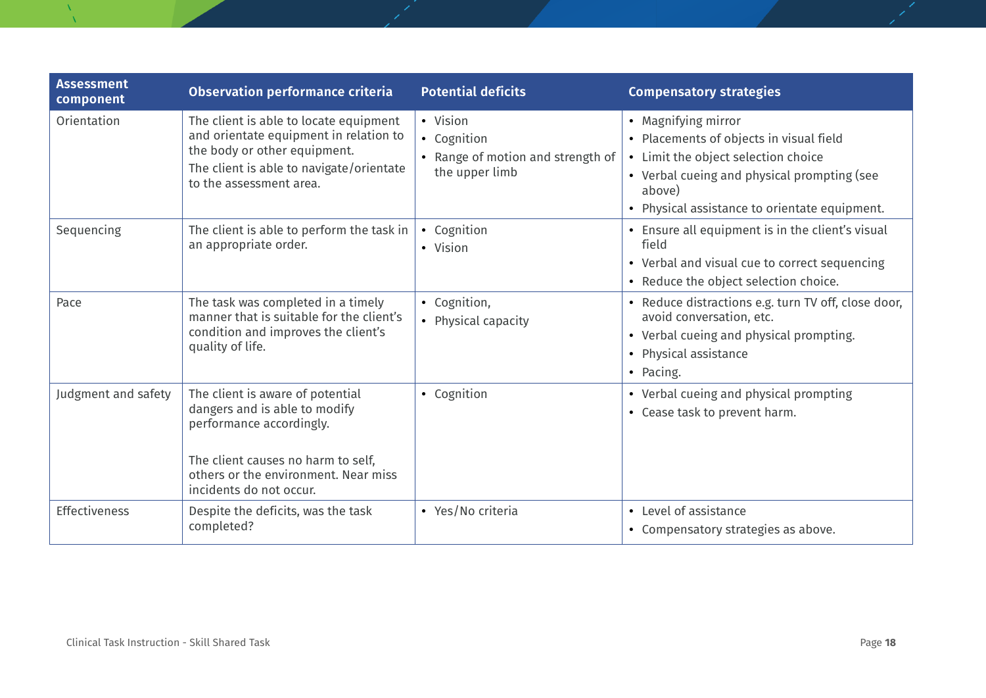| <b>Assessment</b><br>component | <b>Observation performance criteria</b>                                                                                                                                                                | <b>Potential deficits</b>                                                      | <b>Compensatory strategies</b>                                                                                                                                                                                  |
|--------------------------------|--------------------------------------------------------------------------------------------------------------------------------------------------------------------------------------------------------|--------------------------------------------------------------------------------|-----------------------------------------------------------------------------------------------------------------------------------------------------------------------------------------------------------------|
| Orientation                    | The client is able to locate equipment<br>and orientate equipment in relation to<br>the body or other equipment.<br>The client is able to navigate/orientate<br>to the assessment area.                | • Vision<br>• Cognition<br>• Range of motion and strength of<br>the upper limb | • Magnifying mirror<br>• Placements of objects in visual field<br>• Limit the object selection choice<br>• Verbal cueing and physical prompting (see<br>above)<br>• Physical assistance to orientate equipment. |
| Sequencing                     | The client is able to perform the task in<br>an appropriate order.                                                                                                                                     | • Cognition<br>• Vision                                                        | • Ensure all equipment is in the client's visual<br>field<br>• Verbal and visual cue to correct sequencing<br>• Reduce the object selection choice.                                                             |
| Pace                           | The task was completed in a timely<br>manner that is suitable for the client's<br>condition and improves the client's<br>quality of life.                                                              | • Cognition,<br>• Physical capacity                                            | • Reduce distractions e.g. turn TV off, close door,<br>avoid conversation, etc.<br>• Verbal cueing and physical prompting.<br>• Physical assistance<br>• Pacing.                                                |
| Judgment and safety            | The client is aware of potential<br>dangers and is able to modify<br>performance accordingly.<br>The client causes no harm to self,<br>others or the environment. Near miss<br>incidents do not occur. | • Cognition                                                                    | • Verbal cueing and physical prompting<br>• Cease task to prevent harm.                                                                                                                                         |
| Effectiveness                  | Despite the deficits, was the task<br>completed?                                                                                                                                                       | • Yes/No criteria                                                              | • Level of assistance<br>• Compensatory strategies as above.                                                                                                                                                    |